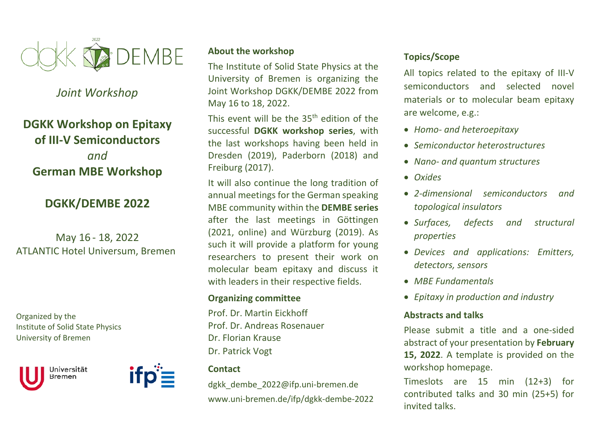

## *Joint Workshop*

# **DGKK Workshop on Epitaxy of III‐V Semiconductors** *and* **German MBE Workshop**

# **DGKK/DEMBE 2022**

May 16 ‐ 18, 2022 ATLANTIC Hotel Universum, Bremen

Organized by the Institute of Solid State Physics University of Bremen





#### **About the workshop**

The Institute of Solid State Physics at the University of Bremen is organizing the Joint Workshop DGKK/DEMBE 2022 from May 16 to 18, 2022.

This event will be the  $35<sup>th</sup>$  edition of the successful **DGKK workshop series**, with the last workshops having been held in Dresden (2019), Paderborn (2018) and Freiburg (2017).

It will also continue the long tradition of annual meetings for the German speaking MBE community within the **DEMBE series**  after the last meetings in Göttingen (2021, online) and Würzburg (2019). As such it will provide a platform for young researchers to present their work on molecular beam epitaxy and discuss it with leaders in their respective fields.

#### **Organizing committee**

Prof. Dr. Martin Eickhoff Prof. Dr. Andreas Rosenauer Dr. Florian Krause Dr. Patrick Vogt

#### **Contact**

dgkk dembe 2022@ifp.uni-bremen.de www.uni‐bremen.de/ifp/dgkk‐dembe‐2022

#### **Topics/Scope**

All topics related to the epitaxy of III‐V semiconductors and selected novel materials or to molecular beam epitaxy are welcome, e.g.:

- *Homo‐ and heteroepitaxy*
- *Semiconductor heterostructures*
- *Nano‐ and quantum structures*
- *Oxides*
- *2‐dimensional semiconductors and topological insulators*
- *Surfaces, defects and structural properties*
- *Devices and applications: Emitters, detectors, sensors*
- *MBE Fundamentals*
- *Epitaxy in production and industry*

#### **Abstracts and talks**

Please submit <sup>a</sup> title and <sup>a</sup> one‐sided abstract of your presentation by **February 15, 2022**. A template is provided on the workshop homepage.

Timeslots are 15 min (12+3) for contributed talks and 30 min (25+5) for invited talks.